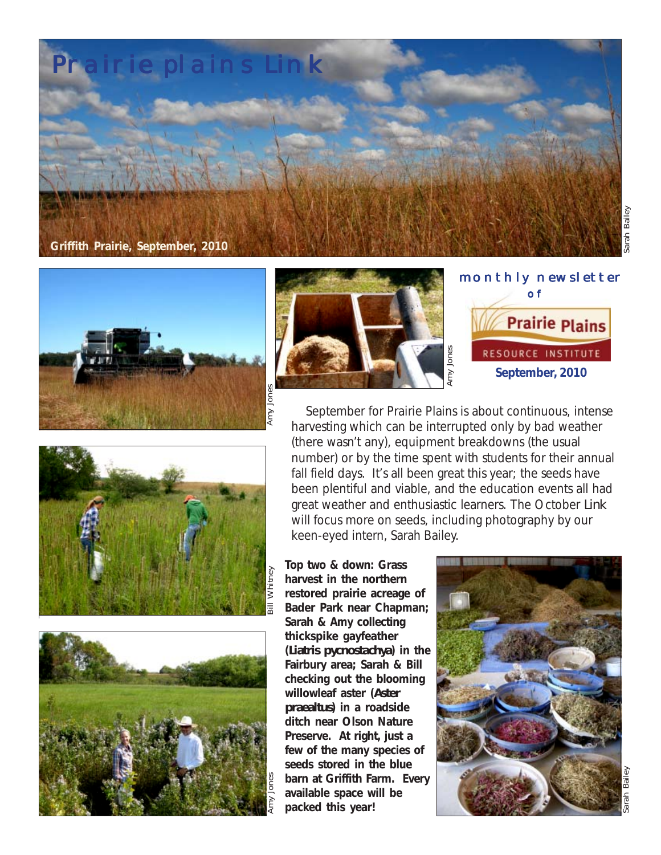











 September for Prairie Plains is about continuous, intense harvesting which can be interrupted only by bad weather (there wasn't any), equipment breakdowns (the usual number) or by the time spent with students for their annual fall field days. It's all been great this year; the seeds have been plentiful and viable, and the education events all had great weather and enthusiastic learners. The October *Link* will focus more on seeds, including photography by our keen-eyed intern, Sarah Bailey.

**Top two & down: Grass harvest in the northern restored prairie acreage of Bader Park near Chapman; Sarah & Amy collecting thickspike gayfeather (***Liatris pycnostachya***) in the Fairbury area; Sarah & Bill checking out the blooming willowleaf aster (***Aster praealtus***) in a roadside ditch near Olson Nature Preserve. At right, just a few of the many species of seeds stored in the blue barn at Griffith Farm. Every available space will be packed this year!**